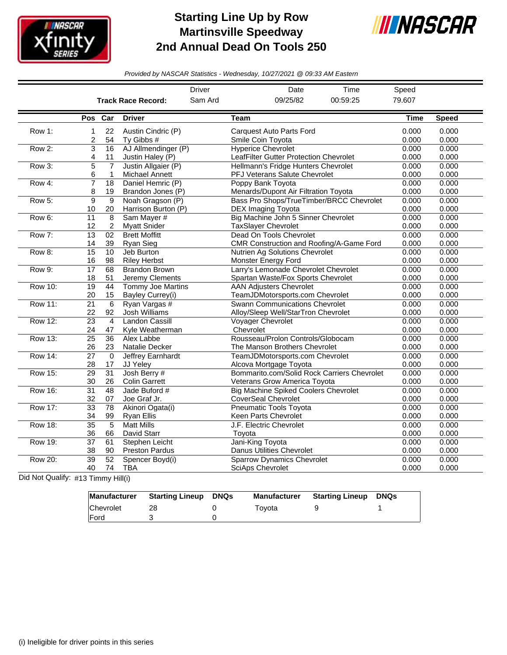

## **Starting Line Up by Row Martinsville Speedway 2nd Annual Dead On Tools 250**



*Provided by NASCAR Statistics - Wednesday, 10/27/2021 @ 09:33 AM Eastern*

|                |                       |                                |                                              | <b>Driver</b> |                                                      | Date                                                                         | Time                                        | Speed          |                |
|----------------|-----------------------|--------------------------------|----------------------------------------------|---------------|------------------------------------------------------|------------------------------------------------------------------------------|---------------------------------------------|----------------|----------------|
|                |                       |                                | <b>Track Race Record:</b>                    | Sam Ard       |                                                      | 09/25/82                                                                     | 00:59:25                                    | 79.607         |                |
|                | Pos                   | Car                            | <b>Driver</b>                                |               | Team                                                 |                                                                              |                                             | Time           | <b>Speed</b>   |
| Row 1:         | 1<br>2                | 22<br>54                       | Austin Cindric (P)<br>Tv Gibbs #             |               | <b>Carquest Auto Parts Ford</b><br>Smile Coin Tovota |                                                                              |                                             | 0.000<br>0.000 | 0.000<br>0.000 |
| Row 2:         | 3<br>4                | 16<br>11                       | AJ Allmendinger (P)<br>Justin Haley (P)      |               | <b>Hyperice Chevrolet</b>                            | LeafFilter Gutter Protection Chevrolet                                       |                                             | 0.000<br>0.000 | 0.000<br>0.000 |
| Row 3:         | 5<br>6                | $\overline{7}$<br>$\mathbf{1}$ | Justin Allgaier (P)<br><b>Michael Annett</b> |               |                                                      | Hellmann's Fridge Hunters Chevrolet<br><b>PFJ Veterans Salute Chevrolet</b>  |                                             | 0.000<br>0.000 | 0.000<br>0.000 |
| Row 4:         | 7<br>8                | $\overline{18}$<br>19          | Daniel Hemric (P)<br>Brandon Jones (P)       |               | Poppy Bank Toyota                                    | Menards/Dupont Air Filtration Toyota                                         |                                             | 0.000<br>0.000 | 0.000<br>0.000 |
| Row 5:         | 9<br>10               | 9<br>20                        | Noah Gragson (P)<br>Harrison Burton (P)      |               | <b>DEX Imaging Toyota</b>                            |                                                                              | Bass Pro Shops/TrueTimber/BRCC Chevrolet    | 0.000<br>0.000 | 0.000<br>0.000 |
| Row 6:         | 11<br>12              | 8<br>$\overline{c}$            | Sam Mayer #<br><b>Myatt Snider</b>           |               | <b>TaxSlayer Chevrolet</b>                           | Big Machine John 5 Sinner Chevrolet                                          |                                             | 0.000<br>0.000 | 0.000<br>0.000 |
| Row 7:         | 13<br>14              | 02<br>39                       | <b>Brett Moffitt</b><br>Ryan Sieg            |               | Dead On Tools Chevrolet                              |                                                                              | CMR Construction and Roofing/A-Game Ford    | 0.000<br>0.000 | 0.000<br>0.000 |
| Row 8:         | 15<br>16              | 10<br>98                       | Jeb Burton<br><b>Riley Herbst</b>            |               | Monster Energy Ford                                  | Nutrien Ag Solutions Chevrolet                                               |                                             | 0.000<br>0.000 | 0.000<br>0.000 |
| Row 9:         | $\overline{17}$<br>18 | 68<br>51                       | <b>Brandon Brown</b><br>Jeremy Clements      |               |                                                      | Larry's Lemonade Chevrolet Chevrolet<br>Spartan Waste/Fox Sports Chevrolet   |                                             | 0.000<br>0.000 | 0.000<br>0.000 |
| Row 10:        | 19<br>20              | 44<br>15                       | <b>Tommy Joe Martins</b><br>Bayley Currey(i) |               | <b>AAN Adjusters Chevrolet</b>                       | TeamJDMotorsports.com Chevrolet                                              |                                             | 0.000<br>0.000 | 0.000<br>0.000 |
| <b>Row 11:</b> | $\overline{21}$<br>22 | 6<br>92                        | Ryan Vargas #<br>Josh Williams               |               |                                                      | <b>Swann Communications Chevrolet</b><br>Alloy/Sleep Well/StarTron Chevrolet |                                             | 0.000<br>0.000 | 0.000<br>0.000 |
| <b>Row 12:</b> | 23<br>24              | $\overline{4}$<br>47           | <b>Landon Cassill</b><br>Kyle Weatherman     |               | Voyager Chevrolet<br>Chevrolet                       |                                                                              |                                             | 0.000<br>0.000 | 0.000<br>0.000 |
| <b>Row 13:</b> | $\overline{25}$<br>26 | 36<br>23                       | Alex Labbe<br>Natalie Decker                 |               |                                                      | Rousseau/Prolon Controls/Globocam<br>The Manson Brothers Chevrolet           |                                             | 0.000<br>0.000 | 0.000<br>0.000 |
| <b>Row 14:</b> | $\overline{27}$<br>28 | $\Omega$<br>17                 | Jeffrey Earnhardt<br>JJ Yeley                |               | Alcova Mortgage Toyota                               | TeamJDMotorsports.com Chevrolet                                              |                                             | 0.000<br>0.000 | 0.000<br>0.000 |
| <b>Row 15:</b> | 29<br>30              | $\overline{31}$<br>26          | Josh Berry #<br><b>Colin Garrett</b>         |               |                                                      | Veterans Grow America Toyota                                                 | Bommarito.com/Solid Rock Carriers Chevrolet | 0.000<br>0.000 | 0.000<br>0.000 |
| <b>Row 16:</b> | $\overline{31}$<br>32 | 48<br>07                       | Jade Buford #<br>Joe Graf Jr.                |               | <b>CoverSeal Chevrolet</b>                           | <b>Big Machine Spiked Coolers Chevrolet</b>                                  |                                             | 0.000<br>0.000 | 0.000<br>0.000 |
| <b>Row 17:</b> | 33<br>34              | 78<br>99                       | Akinori Ogata(i)<br><b>Ryan Ellis</b>        |               | Pneumatic Tools Toyota<br>Keen Parts Chevrolet       |                                                                              |                                             | 0.000<br>0.000 | 0.000<br>0.000 |
| <b>Row 18:</b> | $\overline{35}$<br>36 | 5<br>66                        | <b>Matt Mills</b><br>David Starr             |               | J.F. Electric Chevrolet<br>Toyota                    |                                                                              |                                             | 0.000<br>0.000 | 0.000<br>0.000 |
| <b>Row 19:</b> | $\overline{37}$<br>38 | 61<br>90                       | Stephen Leicht<br><b>Preston Pardus</b>      |               | Jani-King Toyota<br><b>Danus Utilities Chevrolet</b> |                                                                              |                                             | 0.000<br>0.000 | 0.000<br>0.000 |
| <b>Row 20:</b> | 39<br>40              | 52<br>74                       | Spencer Boyd(i)<br><b>TBA</b>                |               | <b>SciAps Chevrolet</b>                              | <b>Sparrow Dynamics Chevrolet</b>                                            |                                             | 0.000<br>0.000 | 0.000<br>0.000 |

Did Not Qualify: #13 Timmy Hill(i)

| Manufacturer | Starting Lineup | DNQs | <b>Manufacturer</b> | <b>Starting Lineup DNQs</b> |  |
|--------------|-----------------|------|---------------------|-----------------------------|--|
| Chevrolet    |                 |      | Tovota              |                             |  |
| <b>IFord</b> |                 |      |                     |                             |  |